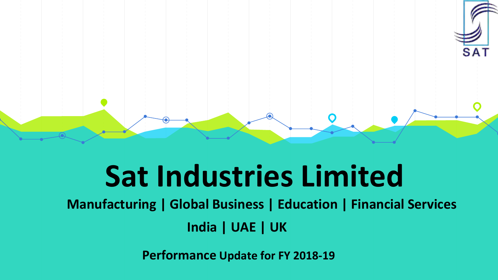

### **Sat Industries Limited**

**Manufacturing | Global Business | Education | Financial Services India | UAE | UK**

**Performance Update for FY 2018-19**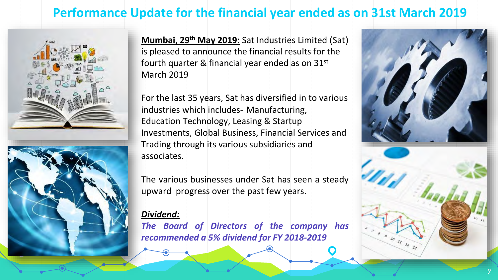#### **Performance Update for the financial year ended as on 31st March 2019**



**Mumbai, 29th May 2019:** Sat Industries Limited (Sat) is pleased to announce the financial results for the fourth quarter & financial year ended as on 31st March 2019

For the last 35 years, Sat has diversified in to various industries which includes- Manufacturing, Education Technology, Leasing & Startup Investments, Global Business, Financial Services and Trading through its various subsidiaries and associates.

The various businesses under Sat has seen a steady upward progress over the past few years.

#### *Dividend:*

*The Board of Directors of the company has recommended a 5% dividend for FY 2018-2019*

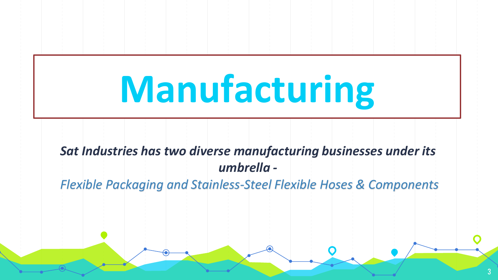# **Manufacturing**

*Sat Industries has two diverse manufacturing businesses under its umbrella -*

*Flexible Packaging and Stainless-Steel Flexible Hoses & Components*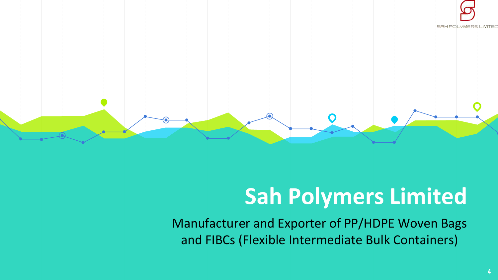



### **Sah Polymers Limited**

Manufacturer and Exporter of PP/HDPE Woven Bags and FIBCs (Flexible Intermediate Bulk Containers)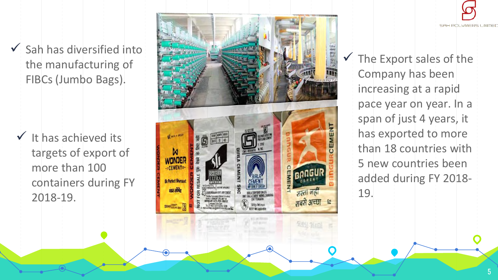$\checkmark$  Sah has diversified into the manufacturing of FIBCs (Jumbo Bags).

 $\checkmark$  It has achieved its targets of export of more than 100 containers during FY 2018 -19.





 $\checkmark$  The Export sales of the Company has been increasing at a rapid pace year on year. In a span of just 4 years, it has exported to more than 18 countries with 5 new countries been added during FY 2018 - 19.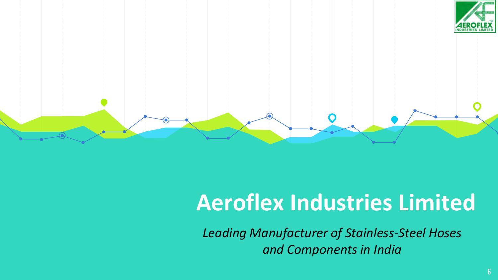



### **Aeroflex Industries Limited**

*Leading Manufacturer of Stainless-Steel Hoses and Components in India*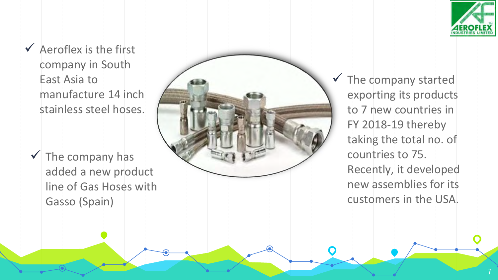

7

 $\checkmark$  Aeroflex is the first company in South East Asia to manufacture 14 inch stainless steel hoses.

 $\checkmark$  The company has added a new product line of Gas Hoses with Gasso (Spain)



 $\checkmark$  The company started exporting its products to 7 new countries in FY 2018 -19 thereby taking the total no. of countries to 75. Recently, it developed new assemblies for its customers in the USA.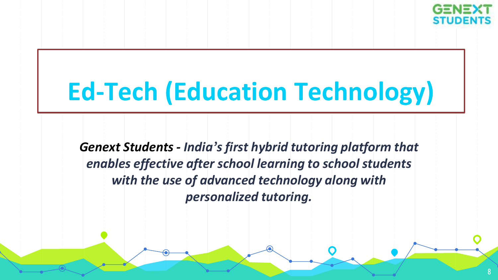

### **Ed-Tech (Education Technology)**

*Genext Students - India's first hybrid tutoring platform that enables effective after school learning to school students with the use of advanced technology along with personalized tutoring.*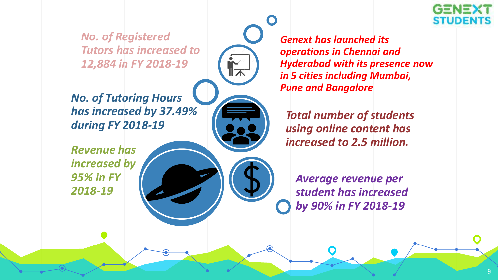*No. of Registered Tutors has increased to 12,884 in FY 2018-19*

*No. of Tutoring Hours has increased by 37.49% during FY 2018-19* 

*Revenue has increased by 95% in FY 2018-19*

*Genext has launched its operations in Chennai and Hyderabad with its presence now in 5 cities including Mumbai, Pune and Bangalore*

*Total number of students using online content has increased to 2.5 million.*

*Average revenue per student has increased by 90% in FY 2018-19* 

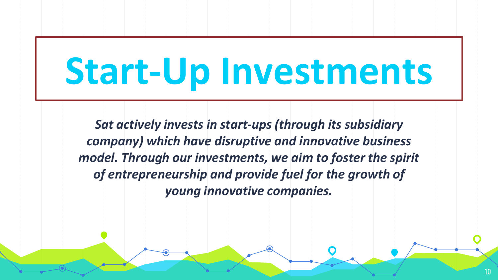## **Start-Up Investments**

*Sat actively invests in start-ups (through its subsidiary company) which have disruptive and innovative business model. Through our investments, we aim to foster the spirit of entrepreneurship and provide fuel for the growth of young innovative companies.*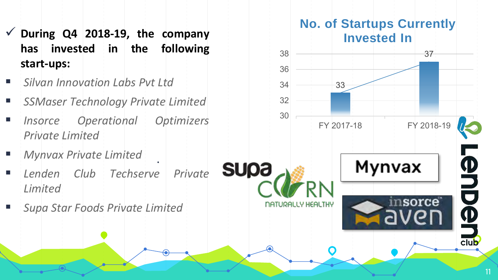- ✓ **During Q4 2018-19, the company has invested in the following start-ups:**
- *Silvan Innovation Labs Pvt Ltd*
- *SSMaser Technology Private Limited*
- *Insorce Operational Optimizers Private Limited*
- *Mynvax Private Limited*
- *Lenden Club Techserve Private Limited*

.

▪ *Supa Star Foods Private Limited*

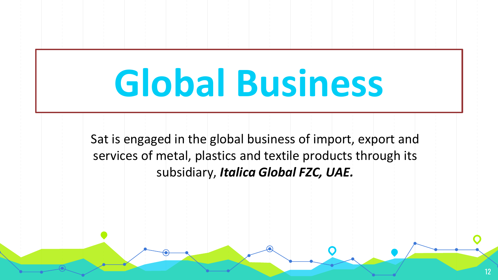## **Global Business**

Sat is engaged in the global business of import, export and services of metal, plastics and textile products through its subsidiary, *Italica Global FZC, UAE.*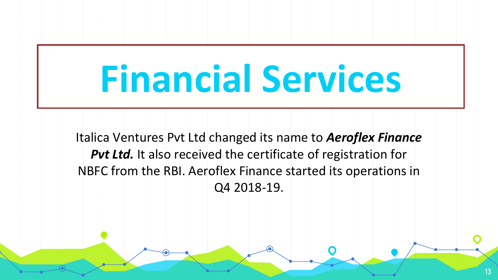## **Financial Services**

Italica Ventures Pvt Ltd changed its name to *Aeroflex Finance*  Put Ltd. It also received the certificate of registration for NBFC from the RBI. Aeroflex Finance started its operations in Q4 2018-19.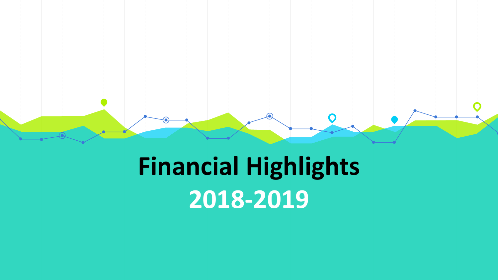### **Financial Highlights 2018-2019**

 $\bullet$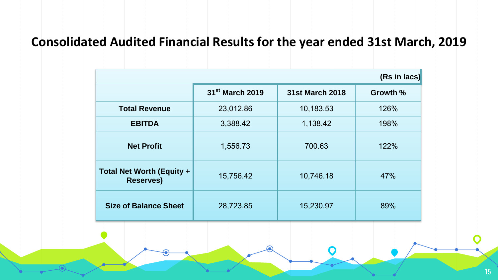#### **Consolidated Audited Financial Results for the year ended 31st March, 2019**

| (Rs in lacs)                                         |                             |                 |          |
|------------------------------------------------------|-----------------------------|-----------------|----------|
|                                                      | 31 <sup>st</sup> March 2019 | 31st March 2018 | Growth % |
| <b>Total Revenue</b>                                 | 23,012.86                   | 10,183.53       | 126%     |
| <b>EBITDA</b>                                        | 3,388.42                    | 1,138.42        | 198%     |
| <b>Net Profit</b>                                    | 1,556.73                    | 700.63          | 122%     |
| <b>Total Net Worth (Equity +</b><br><b>Reserves)</b> | 15,756.42                   | 10,746.18       | 47%      |
| <b>Size of Balance Sheet</b>                         | 28,723.85                   | 15,230.97       | 89%      |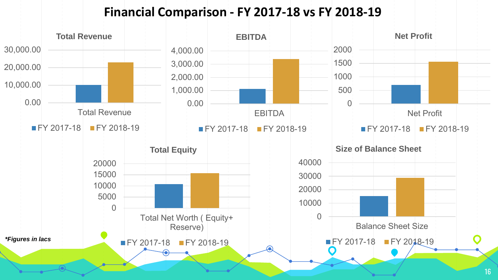#### **Financial Comparison - FY 2017-18 vs FY 2018-19**